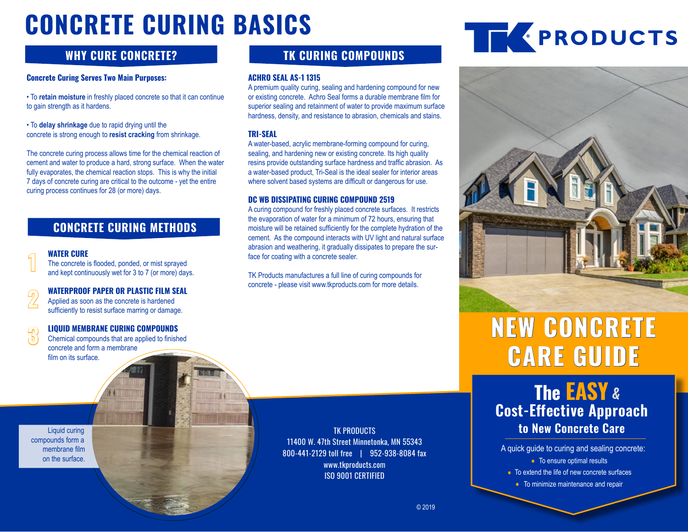# CONCRETE CURING BASICS **WELL SERVICES**

# **WHY CURE CONCRETE?**

## **Concrete Curing Serves Two Main Purposes:**

• To **retain moisture** in freshly placed concrete so that it can continue to gain strength as it hardens.

• To **delay shrinkage** due to rapid drying until the concrete is strong enough to **resist cracking** from shrinkage.

The concrete curing process allows time for the chemical reaction of cement and water to produce a hard, strong surface. When the water fully evaporates, the chemical reaction stops. This is why the initial 7 days of concrete curing are critical to the outcome - yet the entire curing process continues for 28 (or more) days.

# **CONCRETE CURING METHODS**

#### **WATER CURE**

**1**

**2**

**3**

The concrete is flooded, ponded, or mist sprayed and kept continuously wet for 3 to 7 (or more) days.

**WATERPROOF PAPER OR PLASTIC FILM SEAL**

Applied as soon as the concrete is hardened sufficiently to resist surface marring or damage.

#### **LIQUID MEMBRANE CURING COMPOUNDS**

Chemical compounds that are applied to finished concrete and form a membrane film on its surface.

**TK CURING COMPOUNDS**

#### **ACHRO SEAL AS-1 1315**

A premium quality curing, sealing and hardening compound for new or existing concrete. Achro Seal forms a durable membrane film for superior sealing and retainment of water to provide maximum surface hardness, density, and resistance to abrasion, chemicals and stains.

### **TRI-SEAL**

A water-based, acrylic membrane-forming compound for curing, sealing, and hardening new or existing concrete. Its high quality resins provide outstanding surface hardness and traffic abrasion. As a water-based product, Tri-Seal is the ideal sealer for interior areas where solvent based systems are difficult or dangerous for use.

## **DC WB DISSIPATING CURING COMPOUND 2519**

A curing compound for freshly placed concrete surfaces. It restricts the evaporation of water for a minimum of 72 hours, ensuring that moisture will be retained sufficiently for the complete hydration of the cement. As the compound interacts with UV light and natural surface abrasion and weathering, it gradually dissipates to prepare the surface for coating with a concrete sealer.

TK Products manufactures a full line of curing compounds for concrete - please visit www.tkproducts.com for more details.

> TK PRODUCTS 11400 W. 47th Street Minnetonka, MN 55343 800-441-2129 toll free | 952-938-8084 fax www.tkproducts.com ISO 9001 CERTIFIED



# **NEW CONCRETE CARE GUIDE**

**The EASY & Cost-Effective Approach to New Concrete Care**

- A quick guide to curing and sealing concrete: • To ensure optimal results
	-
	- To extend the life of new concrete surfaces
		- To minimize maintenance and repair

Liquid curing